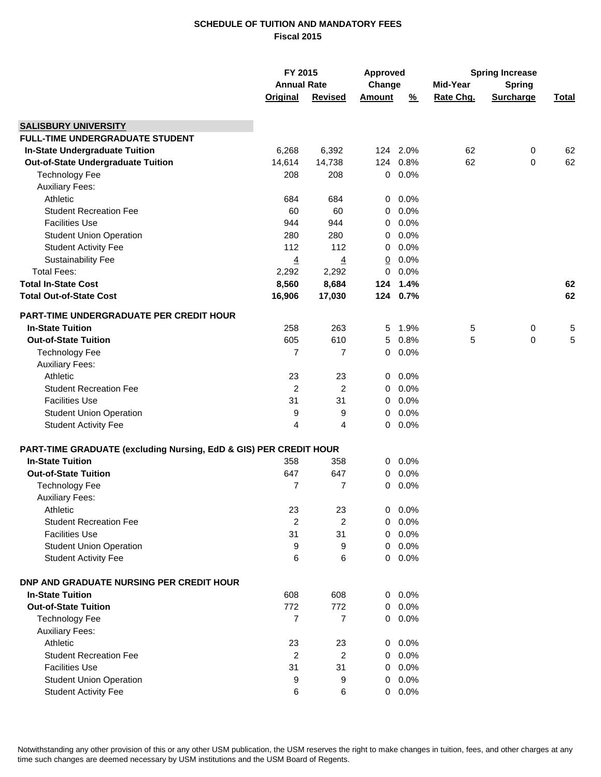## **SCHEDULE OF TUITION AND MANDATORY FEES Fiscal 2015**

|                                                                   | FY 2015<br><b>Annual Rate</b> |                | <b>Approved</b><br>Change |               | <b>Spring Increase</b> |                  |              |
|-------------------------------------------------------------------|-------------------------------|----------------|---------------------------|---------------|------------------------|------------------|--------------|
|                                                                   |                               |                |                           |               | Mid-Year               | <b>Spring</b>    |              |
|                                                                   | <b>Original</b>               | <b>Revised</b> | <b>Amount</b>             | $\frac{9}{6}$ | Rate Chg.              | <b>Surcharge</b> | <u>Total</u> |
|                                                                   |                               |                |                           |               |                        |                  |              |
| <b>SALISBURY UNIVERSITY</b>                                       |                               |                |                           |               |                        |                  |              |
| <b>FULL-TIME UNDERGRADUATE STUDENT</b>                            |                               |                |                           |               |                        |                  |              |
| <b>In-State Undergraduate Tuition</b>                             | 6,268                         | 6,392          |                           | 124 2.0%      | 62                     | 0                | 62           |
| Out-of-State Undergraduate Tuition                                | 14,614                        | 14,738         |                           | 124 0.8%      | 62                     | 0                | 62           |
| <b>Technology Fee</b>                                             | 208                           | 208            |                           | $0 0.0\%$     |                        |                  |              |
| <b>Auxiliary Fees:</b>                                            |                               |                |                           |               |                        |                  |              |
| Athletic                                                          | 684                           | 684            | 0                         | 0.0%          |                        |                  |              |
| <b>Student Recreation Fee</b>                                     | 60                            | 60             | 0                         | 0.0%          |                        |                  |              |
| <b>Facilities Use</b>                                             | 944                           | 944            | 0                         | 0.0%          |                        |                  |              |
| <b>Student Union Operation</b>                                    | 280                           | 280            | 0                         | 0.0%          |                        |                  |              |
| <b>Student Activity Fee</b>                                       | 112                           | 112            | 0                         | 0.0%          |                        |                  |              |
| <b>Sustainability Fee</b>                                         | $\overline{4}$                | $\overline{4}$ | <u>0</u>                  | $0.0\%$       |                        |                  |              |
| <b>Total Fees:</b>                                                | 2,292                         | 2,292          | 0                         | 0.0%          |                        |                  |              |
| <b>Total In-State Cost</b>                                        | 8,560                         | 8,684          |                           | 124 1.4%      |                        |                  | 62           |
| <b>Total Out-of-State Cost</b>                                    | 16,906                        | 17,030         |                           | 124 0.7%      |                        |                  | 62           |
|                                                                   |                               |                |                           |               |                        |                  |              |
| <b>PART-TIME UNDERGRADUATE PER CREDIT HOUR</b>                    |                               |                |                           |               |                        |                  |              |
| <b>In-State Tuition</b>                                           | 258                           | 263            | 5                         | 1.9%          | 5                      | 0                | 5            |
| <b>Out-of-State Tuition</b>                                       | 605                           | 610            | 5                         | 0.8%          | 5                      | 0                | 5            |
| <b>Technology Fee</b>                                             | 7                             | $\overline{7}$ | 0                         | 0.0%          |                        |                  |              |
| <b>Auxiliary Fees:</b>                                            |                               |                |                           |               |                        |                  |              |
| Athletic                                                          | 23                            | 23             | 0                         | 0.0%          |                        |                  |              |
| <b>Student Recreation Fee</b>                                     | $\overline{c}$                | $\overline{c}$ | 0                         | 0.0%          |                        |                  |              |
| <b>Facilities Use</b>                                             | 31                            | 31             | 0                         | $0.0\%$       |                        |                  |              |
| <b>Student Union Operation</b>                                    | 9                             | 9              | 0                         | $0.0\%$       |                        |                  |              |
| <b>Student Activity Fee</b>                                       | 4                             | 4              | $\mathbf 0$               | $0.0\%$       |                        |                  |              |
| PART-TIME GRADUATE (excluding Nursing, EdD & GIS) PER CREDIT HOUR |                               |                |                           |               |                        |                  |              |
| <b>In-State Tuition</b>                                           | 358                           | 358            | 0                         | 0.0%          |                        |                  |              |
| <b>Out-of-State Tuition</b>                                       | 647                           | 647            | 0                         | 0.0%          |                        |                  |              |
| <b>Technology Fee</b>                                             | 7                             | 7              | 0                         | 0.0%          |                        |                  |              |
| <b>Auxiliary Fees:</b>                                            |                               |                |                           |               |                        |                  |              |
| Athletic                                                          | 23                            | 23             | 0                         | $0.0\%$       |                        |                  |              |
| <b>Student Recreation Fee</b>                                     | 2                             | 2              | 0                         | 0.0%          |                        |                  |              |
| <b>Facilities Use</b>                                             |                               |                |                           | 0.0%          |                        |                  |              |
|                                                                   | 31                            | 31             | 0                         |               |                        |                  |              |
| <b>Student Union Operation</b>                                    | 9                             | 9              | 0                         | 0.0%          |                        |                  |              |
| <b>Student Activity Fee</b>                                       | 6                             | 6              | $\mathbf 0$               | 0.0%          |                        |                  |              |
| <b>DNP AND GRADUATE NURSING PER CREDIT HOUR</b>                   |                               |                |                           |               |                        |                  |              |
| <b>In-State Tuition</b>                                           | 608                           | 608            | 0                         | 0.0%          |                        |                  |              |
| <b>Out-of-State Tuition</b>                                       | 772                           | 772            | 0                         | 0.0%          |                        |                  |              |
| <b>Technology Fee</b>                                             | $\overline{7}$                | $\overline{7}$ |                           | $0.0\%$       |                        |                  |              |
| <b>Auxiliary Fees:</b>                                            |                               |                |                           |               |                        |                  |              |
| Athletic                                                          | 23                            | 23             | 0                         | 0.0%          |                        |                  |              |
| <b>Student Recreation Fee</b>                                     | 2                             | $\overline{2}$ |                           | $0.0\%$       |                        |                  |              |
| <b>Facilities Use</b>                                             | 31                            | 31             | 0                         | 0.0%          |                        |                  |              |
| <b>Student Union Operation</b>                                    | 9                             | 9              | 0                         | 0.0%          |                        |                  |              |
| <b>Student Activity Fee</b>                                       | 6                             | 6              |                           | $0.0\%$       |                        |                  |              |
|                                                                   |                               |                |                           |               |                        |                  |              |